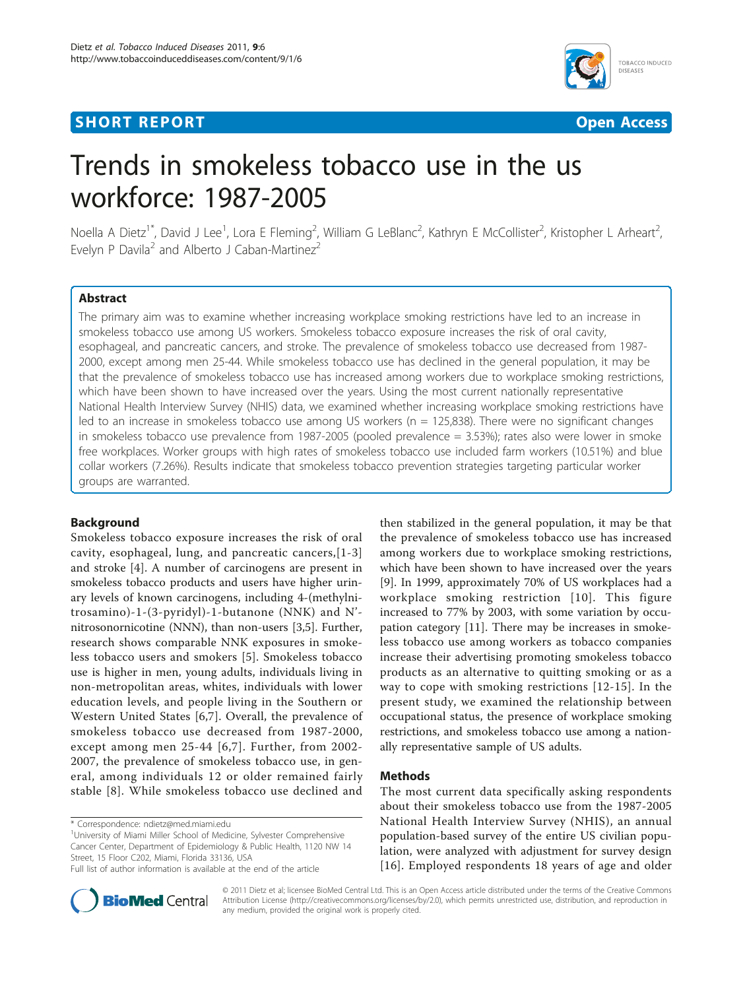## **SHORT REPORT SHORT CONSUMING THE CONSUMING THE CONSUMING THE CONSUMING THE CONSUMING THE CONSUMING THE CONSUMING THE CONSUMING THE CONSUMING THE CONSUMING THE CONSUMING THE CONSUMING THE CONSUMING THE CONSUMING THE CONS**



# Trends in smokeless tobacco use in the us workforce: 1987-2005

Noella A Dietz<sup>1\*</sup>, David J Lee<sup>1</sup>, Lora E Fleming<sup>2</sup>, William G LeBlanc<sup>2</sup>, Kathryn E McCollister<sup>2</sup>, Kristopher L Arheart<sup>2</sup> , Evelyn P Davila<sup>2</sup> and Alberto J Caban-Martinez<sup>2</sup>

## Abstract

The primary aim was to examine whether increasing workplace smoking restrictions have led to an increase in smokeless tobacco use among US workers. Smokeless tobacco exposure increases the risk of oral cavity, esophageal, and pancreatic cancers, and stroke. The prevalence of smokeless tobacco use decreased from 1987- 2000, except among men 25-44. While smokeless tobacco use has declined in the general population, it may be that the prevalence of smokeless tobacco use has increased among workers due to workplace smoking restrictions, which have been shown to have increased over the years. Using the most current nationally representative National Health Interview Survey (NHIS) data, we examined whether increasing workplace smoking restrictions have led to an increase in smokeless tobacco use among US workers ( $n = 125,838$ ). There were no significant changes in smokeless tobacco use prevalence from  $1987-2005$  (pooled prevalence = 3.53%); rates also were lower in smoke free workplaces. Worker groups with high rates of smokeless tobacco use included farm workers (10.51%) and blue collar workers (7.26%). Results indicate that smokeless tobacco prevention strategies targeting particular worker groups are warranted.

## Background

Smokeless tobacco exposure increases the risk of oral cavity, esophageal, lung, and pancreatic cancers,[[1](#page-3-0)-[3](#page-3-0)] and stroke [[4\]](#page-3-0). A number of carcinogens are present in smokeless tobacco products and users have higher urinary levels of known carcinogens, including 4-(methylnitrosamino)-1-(3-pyridyl)-1-butanone (NNK) and N' nitrosonornicotine (NNN), than non-users [[3](#page-3-0),[5](#page-3-0)]. Further, research shows comparable NNK exposures in smokeless tobacco users and smokers [[5](#page-3-0)]. Smokeless tobacco use is higher in men, young adults, individuals living in non-metropolitan areas, whites, individuals with lower education levels, and people living in the Southern or Western United States [[6,7\]](#page-3-0). Overall, the prevalence of smokeless tobacco use decreased from 1987-2000, except among men 25-44 [[6](#page-3-0),[7](#page-3-0)]. Further, from 2002- 2007, the prevalence of smokeless tobacco use, in general, among individuals 12 or older remained fairly stable [[8\]](#page-3-0). While smokeless tobacco use declined and

\* Correspondence: [ndietz@med.miami.edu](mailto:ndietz@med.miami.edu)

<sup>1</sup>University of Miami Miller School of Medicine, Sylvester Comprehensive Cancer Center, Department of Epidemiology & Public Health, 1120 NW 14 Street, 15 Floor C202, Miami, Florida 33136, USA

then stabilized in the general population, it may be that the prevalence of smokeless tobacco use has increased among workers due to workplace smoking restrictions, which have been shown to have increased over the years [[9\]](#page-3-0). In 1999, approximately 70% of US workplaces had a workplace smoking restriction [[10\]](#page-3-0). This figure increased to 77% by 2003, with some variation by occupation category [[11\]](#page-4-0). There may be increases in smokeless tobacco use among workers as tobacco companies increase their advertising promoting smokeless tobacco products as an alternative to quitting smoking or as a way to cope with smoking restrictions [[12-15](#page-4-0)]. In the present study, we examined the relationship between occupational status, the presence of workplace smoking restrictions, and smokeless tobacco use among a nationally representative sample of US adults.

## Methods

The most current data specifically asking respondents about their smokeless tobacco use from the 1987-2005 National Health Interview Survey (NHIS), an annual population-based survey of the entire US civilian population, were analyzed with adjustment for survey design [[16](#page-4-0)]. Employed respondents 18 years of age and older



© 2011 Dietz et al; licensee BioMed Central Ltd. This is an Open Access article distributed under the terms of the Creative Commons Attribution License [\(http://creativecommons.org/licenses/by/2.0](http://creativecommons.org/licenses/by/2.0)), which permits unrestricted use, distribution, and reproduction in any medium, provided the original work is properly cited.

Full list of author information is available at the end of the article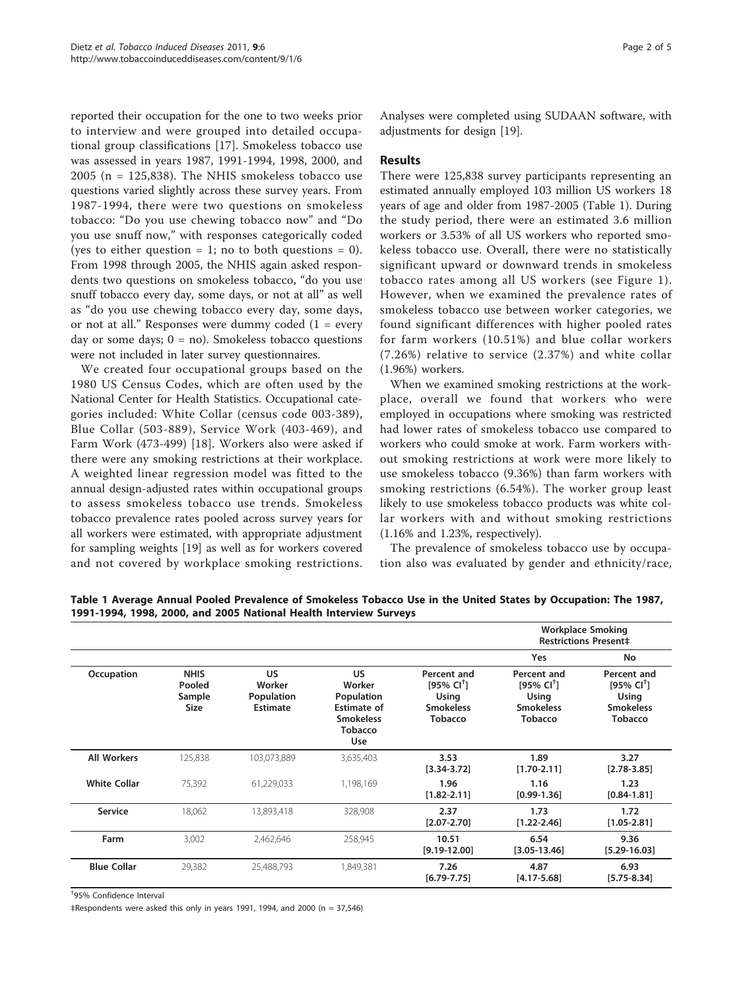reported their occupation for the one to two weeks prior to interview and were grouped into detailed occupational group classifications [[17\]](#page-4-0). Smokeless tobacco use was assessed in years 1987, 1991-1994, 1998, 2000, and 2005 (n = 125,838). The NHIS smokeless tobacco use questions varied slightly across these survey years. From 1987-1994, there were two questions on smokeless tobacco: "Do you use chewing tobacco now" and "Do you use snuff now," with responses categorically coded (yes to either question  $= 1$ ; no to both questions  $= 0$ ). From 1998 through 2005, the NHIS again asked respondents two questions on smokeless tobacco, "do you use snuff tobacco every day, some days, or not at all" as well as "do you use chewing tobacco every day, some days, or not at all." Responses were dummy coded  $(1 = \text{every})$ day or some days;  $0 = no$ ). Smokeless tobacco questions were not included in later survey questionnaires.

We created four occupational groups based on the 1980 US Census Codes, which are often used by the National Center for Health Statistics. Occupational categories included: White Collar (census code 003-389), Blue Collar (503-889), Service Work (403-469), and Farm Work (473-499) [[18\]](#page-4-0). Workers also were asked if there were any smoking restrictions at their workplace. A weighted linear regression model was fitted to the annual design-adjusted rates within occupational groups to assess smokeless tobacco use trends. Smokeless tobacco prevalence rates pooled across survey years for all workers were estimated, with appropriate adjustment for sampling weights [\[19\]](#page-4-0) as well as for workers covered and not covered by workplace smoking restrictions.

Analyses were completed using SUDAAN software, with adjustments for design [\[19\]](#page-4-0).

## Results

There were 125,838 survey participants representing an estimated annually employed 103 million US workers 18 years of age and older from 1987-2005 (Table 1). During the study period, there were an estimated 3.6 million workers or 3.53% of all US workers who reported smokeless tobacco use. Overall, there were no statistically significant upward or downward trends in smokeless tobacco rates among all US workers (see Figure [1\)](#page-2-0). However, when we examined the prevalence rates of smokeless tobacco use between worker categories, we found significant differences with higher pooled rates for farm workers (10.51%) and blue collar workers (7.26%) relative to service (2.37%) and white collar (1.96%) workers.

When we examined smoking restrictions at the workplace, overall we found that workers who were employed in occupations where smoking was restricted had lower rates of smokeless tobacco use compared to workers who could smoke at work. Farm workers without smoking restrictions at work were more likely to use smokeless tobacco (9.36%) than farm workers with smoking restrictions (6.54%). The worker group least likely to use smokeless tobacco products was white collar workers with and without smoking restrictions (1.16% and 1.23%, respectively).

The prevalence of smokeless tobacco use by occupation also was evaluated by gender and ethnicity/race,

|                     |                                                |                                        |                                                                                                      |                                                                                         | <b>Workplace Smoking</b><br><b>Restrictions Present‡</b>                                |                                                                                      |
|---------------------|------------------------------------------------|----------------------------------------|------------------------------------------------------------------------------------------------------|-----------------------------------------------------------------------------------------|-----------------------------------------------------------------------------------------|--------------------------------------------------------------------------------------|
|                     |                                                |                                        |                                                                                                      |                                                                                         | Yes                                                                                     | No                                                                                   |
| Occupation          | <b>NHIS</b><br>Pooled<br>Sample<br><b>Size</b> | US<br>Worker<br>Population<br>Estimate | US<br>Worker<br>Population<br><b>Estimate of</b><br><b>Smokeless</b><br><b>Tobacco</b><br><b>Use</b> | Percent and<br>$195\%$ CI <sup>+</sup> 1<br>Using<br><b>Smokeless</b><br><b>Tobacco</b> | Percent and<br>$195\%$ CI <sup>†</sup> 1<br>Using<br><b>Smokeless</b><br><b>Tobacco</b> | Percent and<br>[95% CI <sup>†</sup> ]<br>Using<br><b>Smokeless</b><br><b>Tobacco</b> |
| <b>All Workers</b>  | 125,838                                        | 103,073,889                            | 3,635,403                                                                                            | 3.53<br>$[3.34 - 3.72]$                                                                 | 1.89<br>$[1.70 - 2.11]$                                                                 | 3.27<br>$[2.78 - 3.85]$                                                              |
| <b>White Collar</b> | 75,392                                         | 61,229,033                             | 1,198,169                                                                                            | 1.96<br>$[1.82 - 2.11]$                                                                 | 1.16<br>$[0.99 - 1.36]$                                                                 | 1.23<br>$[0.84 - 1.81]$                                                              |
| <b>Service</b>      | 18,062                                         | 13,893,418                             | 328,908                                                                                              | 2.37<br>$[2.07 - 2.70]$                                                                 | 1.73<br>$[1.22 - 2.46]$                                                                 | 1.72<br>$[1.05 - 2.81]$                                                              |
| Farm                | 3,002                                          | 2,462,646                              | 258,945                                                                                              | 10.51<br>$[9.19 - 12.00]$                                                               | 6.54<br>$[3.05 - 13.46]$                                                                | 9.36<br>$[5.29 - 16.03]$                                                             |
| <b>Blue Collar</b>  | 29,382                                         | 25,488,793                             | 1,849,381                                                                                            | 7.26<br>$[6.79 - 7.75]$                                                                 | 4.87<br>$[4.17 - 5.68]$                                                                 | 6.93<br>$[5.75 - 8.34]$                                                              |

Table 1 Average Annual Pooled Prevalence of Smokeless Tobacco Use in the United States by Occupation: The 1987, 1991-1994, 1998, 2000, and 2005 National Health Interview Surveys

† 95% Confidence Interval

 $\frac{1}{2}$ Respondents were asked this only in years 1991, 1994, and 2000 (n = 37,546)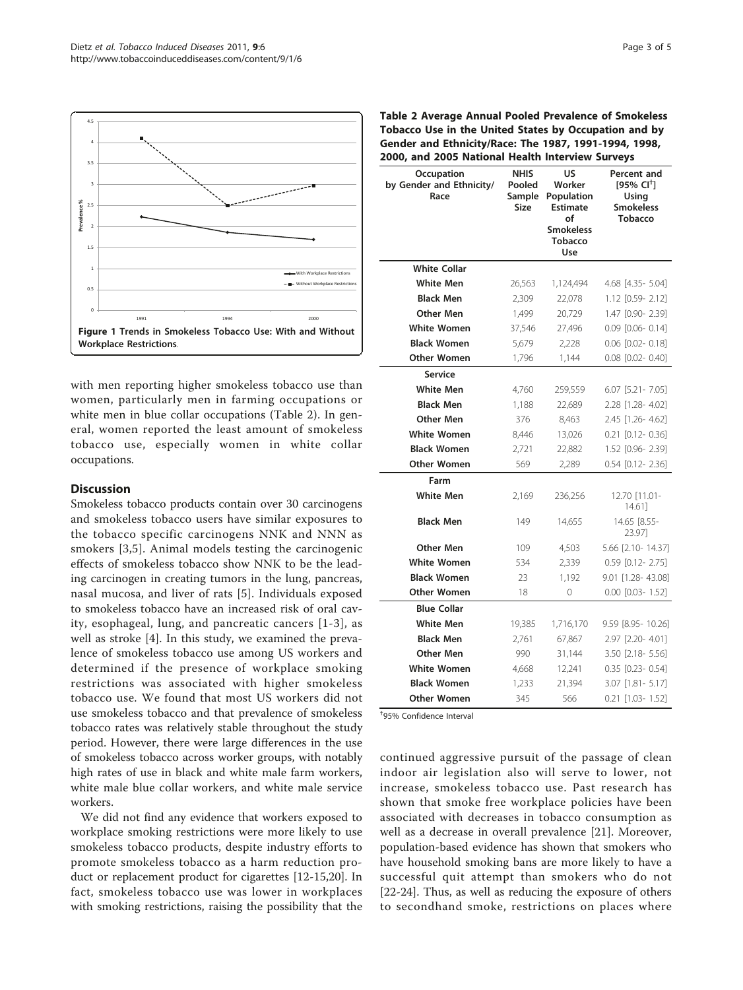<span id="page-2-0"></span>

with men reporting higher smokeless tobacco use than women, particularly men in farming occupations or white men in blue collar occupations (Table 2). In general, women reported the least amount of smokeless tobacco use, especially women in white collar occupations.

### **Discussion**

Smokeless tobacco products contain over 30 carcinogens and smokeless tobacco users have similar exposures to the tobacco specific carcinogens NNK and NNN as smokers [[3,5\]](#page-3-0). Animal models testing the carcinogenic effects of smokeless tobacco show NNK to be the leading carcinogen in creating tumors in the lung, pancreas, nasal mucosa, and liver of rats [\[5](#page-3-0)]. Individuals exposed to smokeless tobacco have an increased risk of oral cavity, esophageal, lung, and pancreatic cancers [[1-3\]](#page-3-0), as well as stroke [[4\]](#page-3-0). In this study, we examined the prevalence of smokeless tobacco use among US workers and determined if the presence of workplace smoking restrictions was associated with higher smokeless tobacco use. We found that most US workers did not use smokeless tobacco and that prevalence of smokeless tobacco rates was relatively stable throughout the study period. However, there were large differences in the use of smokeless tobacco across worker groups, with notably high rates of use in black and white male farm workers, white male blue collar workers, and white male service workers.

We did not find any evidence that workers exposed to workplace smoking restrictions were more likely to use smokeless tobacco products, despite industry efforts to promote smokeless tobacco as a harm reduction product or replacement product for cigarettes [\[12](#page-4-0)-[15](#page-4-0),[20](#page-4-0)]. In fact, smokeless tobacco use was lower in workplaces with smoking restrictions, raising the possibility that the

Table 2 Average Annual Pooled Prevalence of Smokeless Tobacco Use in the United States by Occupation and by Gender and Ethnicity/Race: The 1987, 1991-1994, 1998, 2000, and 2005 National Health Interview Surveys

| Occupation<br>by Gender and Ethnicity/<br>Race | <b>NHIS</b><br>Pooled<br>Sample<br>Size | US<br>Worker<br>Population<br><b>Estimate</b><br>of<br><b>Smokeless</b><br><b>Tobacco</b><br>Use | Percent and<br>[95% $Cl+$ ]<br>Using<br><b>Smokeless</b><br>Tobacco |
|------------------------------------------------|-----------------------------------------|--------------------------------------------------------------------------------------------------|---------------------------------------------------------------------|
| <b>White Collar</b>                            |                                         |                                                                                                  |                                                                     |
| <b>White Men</b>                               | 26,563                                  | 1,124,494                                                                                        | 4.68 [4.35- 5.04]                                                   |
| <b>Black Men</b>                               | 2,309                                   | 22,078                                                                                           | 1.12 [0.59-2.12]                                                    |
| <b>Other Men</b>                               | 1,499                                   | 20,729                                                                                           | 1.47 [0.90-2.39]                                                    |
| <b>White Women</b>                             | 37,546                                  | 27,496                                                                                           | $0.09$ $[0.06 - 0.14]$                                              |
| <b>Black Women</b>                             | 5,679                                   | 2,228                                                                                            | $0.06$ $[0.02 - 0.18]$                                              |
| <b>Other Women</b>                             | 1,796                                   | 1,144                                                                                            | $0.08$ $[0.02 - 0.40]$                                              |
| <b>Service</b>                                 |                                         |                                                                                                  |                                                                     |
| <b>White Men</b>                               | 4,760                                   | 259,559                                                                                          | 6.07 [5.21 - 7.05]                                                  |
| <b>Black Men</b>                               | 1,188                                   | 22,689                                                                                           | 2.28 [1.28-4.02]                                                    |
| <b>Other Men</b>                               | 376                                     | 8,463                                                                                            | 2.45 [1.26-4.62]                                                    |
| <b>White Women</b>                             | 8,446                                   | 13,026                                                                                           | $0.21$ $[0.12 - 0.36]$                                              |
| <b>Black Women</b>                             | 2,721                                   | 22,882                                                                                           | 1.52 [0.96-2.39]                                                    |
| <b>Other Women</b>                             | 569                                     | 2,289                                                                                            | $0.54$ $[0.12 - 2.36]$                                              |
| Farm                                           |                                         |                                                                                                  |                                                                     |
| <b>White Men</b>                               | 2,169                                   | 236,256                                                                                          | 12.70 [11.01-<br>14.61]                                             |
| <b>Black Men</b>                               | 149                                     | 14,655                                                                                           | 14.65 [8.55-<br>23.971                                              |
| <b>Other Men</b>                               | 109                                     | 4,503                                                                                            | 5.66 [2.10- 14.37]                                                  |
| <b>White Women</b>                             | 534                                     | 2,339                                                                                            | $0.59$ $[0.12 - 2.75]$                                              |
| <b>Black Women</b>                             | 23                                      | 1,192                                                                                            | 9.01 [1.28-43.08]                                                   |
| <b>Other Women</b>                             | 18                                      | 0                                                                                                | $0.00$ $[0.03 - 1.52]$                                              |
| <b>Blue Collar</b>                             |                                         |                                                                                                  |                                                                     |
| <b>White Men</b>                               | 19,385                                  | 1,716,170                                                                                        | 9.59 [8.95-10.26]                                                   |
| <b>Black Men</b>                               | 2,761                                   | 67,867                                                                                           | 2.97 [2.20-4.01]                                                    |
| <b>Other Men</b>                               | 990                                     | 31,144                                                                                           | 3.50 [2.18-5.56]                                                    |
| <b>White Women</b>                             | 4,668                                   | 12,241                                                                                           | $0.35$ $[0.23 - 0.54]$                                              |
| <b>Black Women</b>                             | 1,233                                   | 21,394                                                                                           | 3.07 [1.81 - 5.17]                                                  |
| <b>Other Women</b>                             | 345                                     | 566                                                                                              | 0.21 [1.03-1.52]                                                    |

† 95% Confidence Interval

continued aggressive pursuit of the passage of clean indoor air legislation also will serve to lower, not increase, smokeless tobacco use. Past research has shown that smoke free workplace policies have been associated with decreases in tobacco consumption as well as a decrease in overall prevalence [[21\]](#page-4-0). Moreover, population-based evidence has shown that smokers who have household smoking bans are more likely to have a successful quit attempt than smokers who do not [[22-24\]](#page-4-0). Thus, as well as reducing the exposure of others to secondhand smoke, restrictions on places where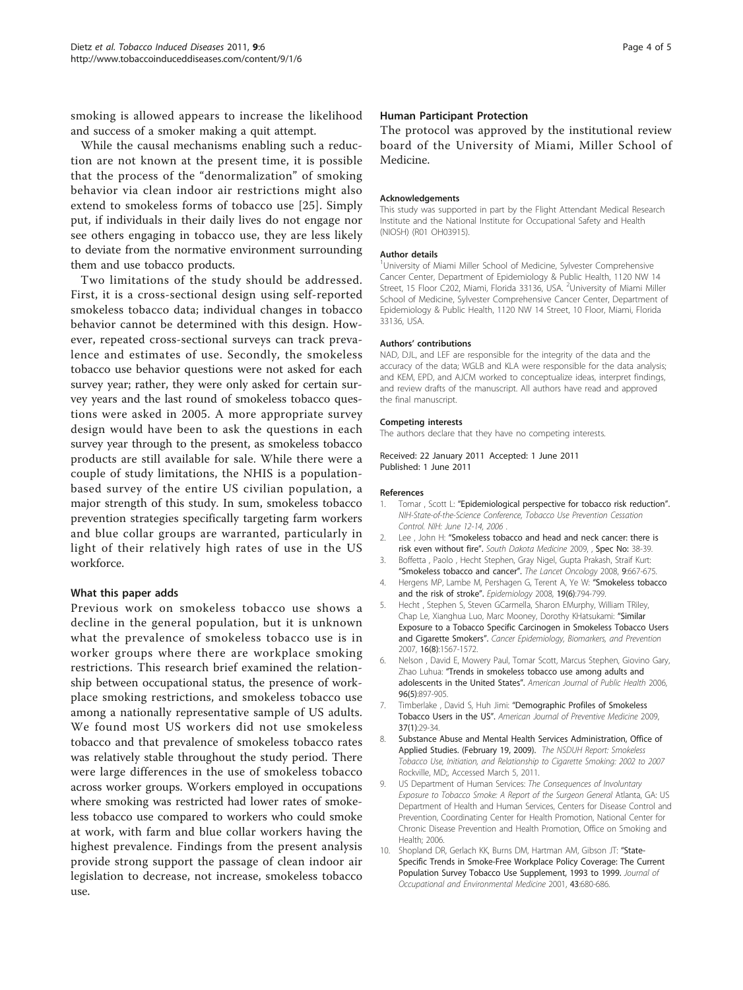<span id="page-3-0"></span>smoking is allowed appears to increase the likelihood and success of a smoker making a quit attempt.

While the causal mechanisms enabling such a reduction are not known at the present time, it is possible that the process of the "denormalization" of smoking behavior via clean indoor air restrictions might also extend to smokeless forms of tobacco use [[25\]](#page-4-0). Simply put, if individuals in their daily lives do not engage nor see others engaging in tobacco use, they are less likely to deviate from the normative environment surrounding them and use tobacco products.

Two limitations of the study should be addressed. First, it is a cross-sectional design using self-reported smokeless tobacco data; individual changes in tobacco behavior cannot be determined with this design. However, repeated cross-sectional surveys can track prevalence and estimates of use. Secondly, the smokeless tobacco use behavior questions were not asked for each survey year; rather, they were only asked for certain survey years and the last round of smokeless tobacco questions were asked in 2005. A more appropriate survey design would have been to ask the questions in each survey year through to the present, as smokeless tobacco products are still available for sale. While there were a couple of study limitations, the NHIS is a populationbased survey of the entire US civilian population, a major strength of this study. In sum, smokeless tobacco prevention strategies specifically targeting farm workers and blue collar groups are warranted, particularly in light of their relatively high rates of use in the US workforce.

## What this paper adds

Previous work on smokeless tobacco use shows a decline in the general population, but it is unknown what the prevalence of smokeless tobacco use is in worker groups where there are workplace smoking restrictions. This research brief examined the relationship between occupational status, the presence of workplace smoking restrictions, and smokeless tobacco use among a nationally representative sample of US adults. We found most US workers did not use smokeless tobacco and that prevalence of smokeless tobacco rates was relatively stable throughout the study period. There were large differences in the use of smokeless tobacco across worker groups. Workers employed in occupations where smoking was restricted had lower rates of smokeless tobacco use compared to workers who could smoke at work, with farm and blue collar workers having the highest prevalence. Findings from the present analysis provide strong support the passage of clean indoor air legislation to decrease, not increase, smokeless tobacco use.

#### Human Participant Protection

The protocol was approved by the institutional review board of the University of Miami, Miller School of Medicine.

#### Acknowledgements

This study was supported in part by the Flight Attendant Medical Research Institute and the National Institute for Occupational Safety and Health (NIOSH) (R01 OH03915).

#### Author details

<sup>1</sup>University of Miami Miller School of Medicine, Sylvester Comprehensive Cancer Center, Department of Epidemiology & Public Health, 1120 NW 14 Street, 15 Floor C202, Miami, Florida 33136, USA. <sup>2</sup>University of Miami Miller School of Medicine, Sylvester Comprehensive Cancer Center, Department of Epidemiology & Public Health, 1120 NW 14 Street, 10 Floor, Miami, Florida 33136, USA.

#### Authors' contributions

NAD, DJL, and LEF are responsible for the integrity of the data and the accuracy of the data; WGLB and KLA were responsible for the data analysis; and KEM, EPD, and AJCM worked to conceptualize ideas, interpret findings, and review drafts of the manuscript. All authors have read and approved the final manuscript.

#### Competing interests

The authors declare that they have no competing interests.

Received: 22 January 2011 Accepted: 1 June 2011 Published: 1 June 2011

#### References

- 1. Tomar, Scott L: "Epidemiological perspective for tobacco risk reduction". NIH-State-of-the-Science Conference, Tobacco Use Prevention Cessation Control. NIH: June 12-14, 2006
- 2. Lee, John H: "Smokeless tobacco and head and neck cancer: there is risk even without fire". South Dakota Medicine 2009, , Spec No: 38-39.
- 3. Boffetta , Paolo , Hecht Stephen, Gray Nigel, Gupta Prakash, Straif Kurt: "[Smokeless tobacco and cancer](http://www.ncbi.nlm.nih.gov/pubmed/18598931?dopt=Abstract)". The Lancet Oncology 2008, 9:667-675.
- 4. Hergens MP, Lambe M, Pershagen G, Terent A, Ye W: "[Smokeless tobacco](http://www.ncbi.nlm.nih.gov/pubmed/18854704?dopt=Abstract) [and the risk of stroke](http://www.ncbi.nlm.nih.gov/pubmed/18854704?dopt=Abstract)". Epidemiology 2008, 19(6):794-799.
- 5. Hecht , Stephen S, Steven GCarmella, Sharon EMurphy, William TRiley, Chap Le, Xianghua Luo, Marc Mooney, Dorothy KHatsukami: "Similar Exposure to a Tobacco Specific Carcinogen in Smokeless Tobacco Users and Cigarette Smokers". Cancer Epidemiology, Biomarkers, and Prevention 2007, 16(8):1567-1572.
- 6. Nelson , David E, Mowery Paul, Tomar Scott, Marcus Stephen, Giovino Gary, Zhao Luhua: "[Trends in smokeless tobacco use among adults and](http://www.ncbi.nlm.nih.gov/pubmed/16571699?dopt=Abstract) [adolescents in the United States](http://www.ncbi.nlm.nih.gov/pubmed/16571699?dopt=Abstract)". American Journal of Public Health 2006, 96(5):897-905.
- 7. Timberlake, David S, Huh Jimi: "[Demographic Profiles of Smokeless](http://www.ncbi.nlm.nih.gov/pubmed/19524142?dopt=Abstract) [Tobacco Users in the US](http://www.ncbi.nlm.nih.gov/pubmed/19524142?dopt=Abstract)". American Journal of Preventive Medicine 2009, 37(1):29-34.
- 8. Substance Abuse and Mental Health Services Administration, Office of Applied Studies. (February 19, 2009). The NSDUH Report: Smokeless Tobacco Use, Initiation, and Relationship to Cigarette Smoking: 2002 to 2007 Rockville, MD;, Accessed March 5, 2011.
- 9. US Department of Human Services: The Consequences of Involuntary Exposure to Tobacco Smoke: A Report of the Surgeon General Atlanta, GA: US Department of Health and Human Services, Centers for Disease Control and Prevention, Coordinating Center for Health Promotion, National Center for Chronic Disease Prevention and Health Promotion, Office on Smoking and Health; 2006.
- 10. Shopland DR, Gerlach KK, Burns DM, Hartman AM, Gibson JT: "[State-](http://www.ncbi.nlm.nih.gov/pubmed/11515250?dopt=Abstract)[Specific Trends in Smoke-Free Workplace Policy Coverage: The Current](http://www.ncbi.nlm.nih.gov/pubmed/11515250?dopt=Abstract) [Population Survey Tobacco Use Supplement, 1993 to 1999.](http://www.ncbi.nlm.nih.gov/pubmed/11515250?dopt=Abstract) Journal of Occupational and Environmental Medicine 2001, 43:680-686.